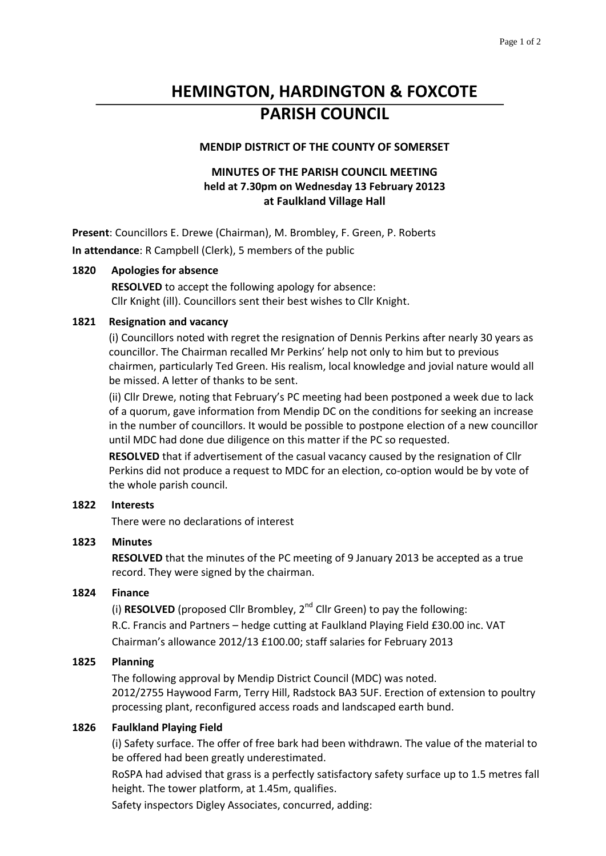# **HEMINGTON, HARDINGTON & FOXCOTE PARISH COUNCIL**

## **MENDIP DISTRICT OF THE COUNTY OF SOMERSET**

# **MINUTES OF THE PARISH COUNCIL MEETING held at 7.30pm on Wednesday 13 February 20123 at Faulkland Village Hall**

**Present**: Councillors E. Drewe (Chairman), M. Brombley, F. Green, P. Roberts **In attendance**: R Campbell (Clerk), 5 members of the public

#### **1820 Apologies for absence**

**RESOLVED** to accept the following apology for absence: Cllr Knight (ill). Councillors sent their best wishes to Cllr Knight.

#### **1821 Resignation and vacancy**

(i) Councillors noted with regret the resignation of Dennis Perkins after nearly 30 years as councillor. The Chairman recalled Mr Perkins' help not only to him but to previous chairmen, particularly Ted Green. His realism, local knowledge and jovial nature would all be missed. A letter of thanks to be sent.

(ii) Cllr Drewe, noting that February's PC meeting had been postponed a week due to lack of a quorum, gave information from Mendip DC on the conditions for seeking an increase in the number of councillors. It would be possible to postpone election of a new councillor until MDC had done due diligence on this matter if the PC so requested.

**RESOLVED** that if advertisement of the casual vacancy caused by the resignation of Cllr Perkins did not produce a request to MDC for an election, co-option would be by vote of the whole parish council.

## **1822 Interests**

There were no declarations of interest

## **1823 Minutes**

**RESOLVED** that the minutes of the PC meeting of 9 January 2013 be accepted as a true record. They were signed by the chairman.

## **1824 Finance**

(i) **RESOLVED** (proposed Cllr Brombley, 2nd Cllr Green) to pay the following: R.C. Francis and Partners – hedge cutting at Faulkland Playing Field £30.00 inc. VAT Chairman's allowance 2012/13 £100.00; staff salaries for February 2013

#### **1825 Planning**

The following approval by Mendip District Council (MDC) was noted. 2012/2755 Haywood Farm, Terry Hill, Radstock BA3 5UF. Erection of extension to poultry processing plant, reconfigured access roads and landscaped earth bund.

## **1826 Faulkland Playing Field**

(i) Safety surface. The offer of free bark had been withdrawn. The value of the material to be offered had been greatly underestimated.

RoSPA had advised that grass is a perfectly satisfactory safety surface up to 1.5 metres fall height. The tower platform, at 1.45m, qualifies.

Safety inspectors Digley Associates, concurred, adding: